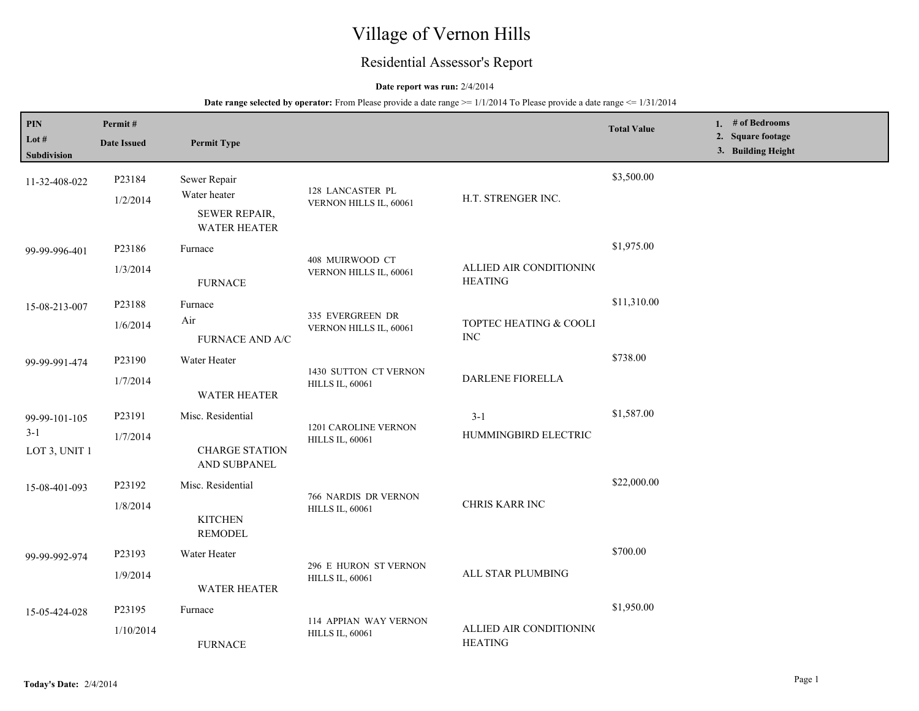# Village of Vernon Hills

# Residential Assessor's Report

### **Date report was run:** 2/4/2014

**Date range selected by operator:** From Please provide a date range  $\ge$ = 1/1/2014 To Please provide a date range  $\le$  1/31/2014

| PIN<br>Lot #<br>Subdivision             | Permit#<br><b>Date Issued</b> | <b>Permit Type</b>                                                   |                                                 |                                           | <b>Total Value</b> | 1. # of Bedrooms<br>2. Square footage<br>3. Building Height |
|-----------------------------------------|-------------------------------|----------------------------------------------------------------------|-------------------------------------------------|-------------------------------------------|--------------------|-------------------------------------------------------------|
| 11-32-408-022                           | P23184<br>1/2/2014            | Sewer Repair<br>Water heater<br>SEWER REPAIR,<br><b>WATER HEATER</b> | 128 LANCASTER PL<br>VERNON HILLS IL, 60061      | H.T. STRENGER INC.                        | \$3,500.00         |                                                             |
| 99-99-996-401                           | P23186<br>1/3/2014            | Furnace<br><b>FURNACE</b>                                            | 408 MUIRWOOD CT<br>VERNON HILLS IL, 60061       | ALLIED AIR CONDITIONING<br><b>HEATING</b> | \$1,975.00         |                                                             |
| 15-08-213-007                           | P23188<br>1/6/2014            | Furnace<br>Air<br><b>FURNACE AND A/C</b>                             | 335 EVERGREEN DR<br>VERNON HILLS IL, 60061      | TOPTEC HEATING & COOLI<br><b>INC</b>      | \$11,310.00        |                                                             |
| 99-99-991-474                           | P23190<br>1/7/2014            | Water Heater<br><b>WATER HEATER</b>                                  | 1430 SUTTON CT VERNON<br><b>HILLS IL, 60061</b> | DARLENE FIORELLA                          | \$738.00           |                                                             |
| 99-99-101-105<br>$3-1$<br>LOT 3, UNIT 1 | P23191<br>1/7/2014            | Misc. Residential<br><b>CHARGE STATION</b><br>AND SUBPANEL           | 1201 CAROLINE VERNON<br><b>HILLS IL, 60061</b>  | $3 - 1$<br>HUMMINGBIRD ELECTRIC           | \$1,587.00         |                                                             |
| 15-08-401-093                           | P23192<br>1/8/2014            | Misc. Residential<br><b>KITCHEN</b><br><b>REMODEL</b>                | 766 NARDIS DR VERNON<br><b>HILLS IL, 60061</b>  | CHRIS KARR INC                            | \$22,000.00        |                                                             |
| 99-99-992-974                           | P23193<br>1/9/2014            | Water Heater<br><b>WATER HEATER</b>                                  | 296 E HURON ST VERNON<br><b>HILLS IL, 60061</b> | ALL STAR PLUMBING                         | \$700.00           |                                                             |
| 15-05-424-028                           | P23195<br>1/10/2014           | Furnace<br><b>FURNACE</b>                                            | 114 APPIAN WAY VERNON<br><b>HILLS IL, 60061</b> | ALLIED AIR CONDITIONING<br><b>HEATING</b> | \$1,950.00         |                                                             |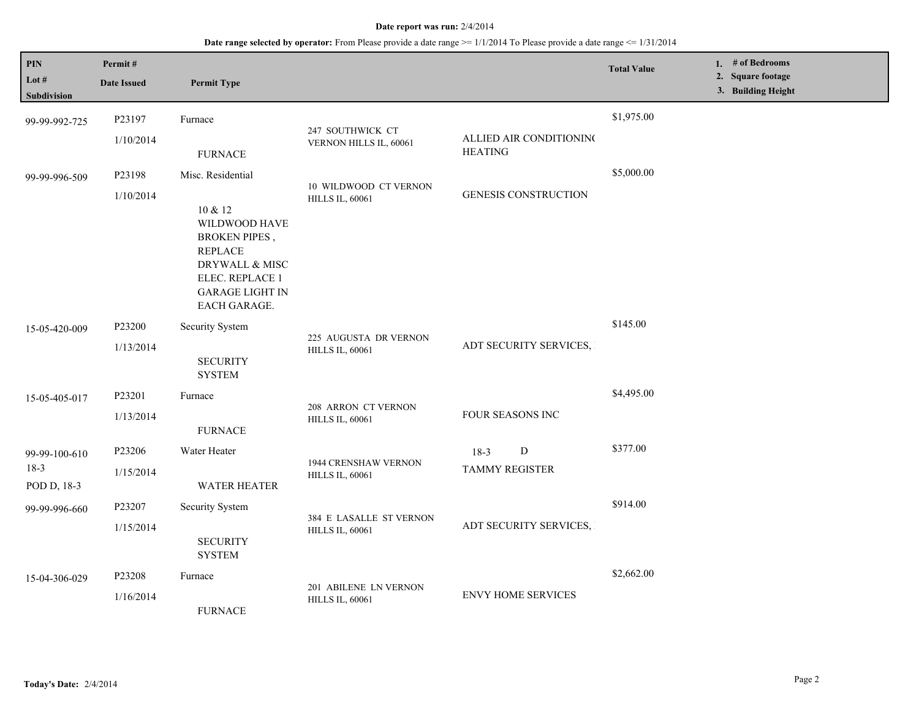#### **Date report was run:** 2/4/2014

**Date range selected by operator:** From Please provide a date range >= 1/1/2014 To Please provide a date range <= 1/31/2014

| PIN<br>Lot #<br>Subdivision            | Permit#<br><b>Date Issued</b> | <b>Permit Type</b>                                                                                                                                                             |                                                       |                                           | <b>Total Value</b> | 1. # of Bedrooms<br>2. Square footage<br>3. Building Height |
|----------------------------------------|-------------------------------|--------------------------------------------------------------------------------------------------------------------------------------------------------------------------------|-------------------------------------------------------|-------------------------------------------|--------------------|-------------------------------------------------------------|
| 99-99-992-725                          | P23197<br>1/10/2014           | Furnace<br><b>FURNACE</b>                                                                                                                                                      | 247 SOUTHWICK CT<br>VERNON HILLS IL, 60061            | ALLIED AIR CONDITIONING<br><b>HEATING</b> | \$1,975.00         |                                                             |
| 99-99-996-509                          | P23198<br>1/10/2014           | Misc. Residential<br>10 & 12<br>WILDWOOD HAVE<br><b>BROKEN PIPES</b> ,<br><b>REPLACE</b><br>DRYWALL & MISC<br>ELEC. REPLACE 1<br><b>GARAGE LIGHT IN</b><br><b>EACH GARAGE.</b> | 10 WILDWOOD CT VERNON<br><b>HILLS IL, 60061</b>       | <b>GENESIS CONSTRUCTION</b>               | \$5,000.00         |                                                             |
| 15-05-420-009                          | P23200<br>1/13/2014           | <b>Security System</b><br><b>SECURITY</b><br><b>SYSTEM</b>                                                                                                                     | 225 AUGUSTA DR VERNON<br><b>HILLS IL, 60061</b>       | ADT SECURITY SERVICES,                    | \$145.00           |                                                             |
| 15-05-405-017                          | P23201<br>1/13/2014           | Furnace<br><b>FURNACE</b>                                                                                                                                                      | 208 ARRON CT VERNON<br><b>HILLS IL, 60061</b>         | FOUR SEASONS INC                          | \$4,495.00         |                                                             |
| 99-99-100-610<br>$18-3$<br>POD D, 18-3 | P23206<br>1/15/2014           | Water Heater<br><b>WATER HEATER</b>                                                                                                                                            | <b>1944 CRENSHAW VERNON</b><br><b>HILLS IL, 60061</b> | D<br>$18-3$<br><b>TAMMY REGISTER</b>      | \$377.00           |                                                             |
| 99-99-996-660                          | P23207<br>1/15/2014           | Security System<br><b>SECURITY</b><br><b>SYSTEM</b>                                                                                                                            | 384 E LASALLE ST VERNON<br><b>HILLS IL, 60061</b>     | ADT SECURITY SERVICES,                    | \$914.00           |                                                             |
| 15-04-306-029                          | P23208<br>1/16/2014           | Furnace<br><b>FURNACE</b>                                                                                                                                                      | 201 ABILENE LN VERNON<br><b>HILLS IL, 60061</b>       | <b>ENVY HOME SERVICES</b>                 | \$2,662.00         |                                                             |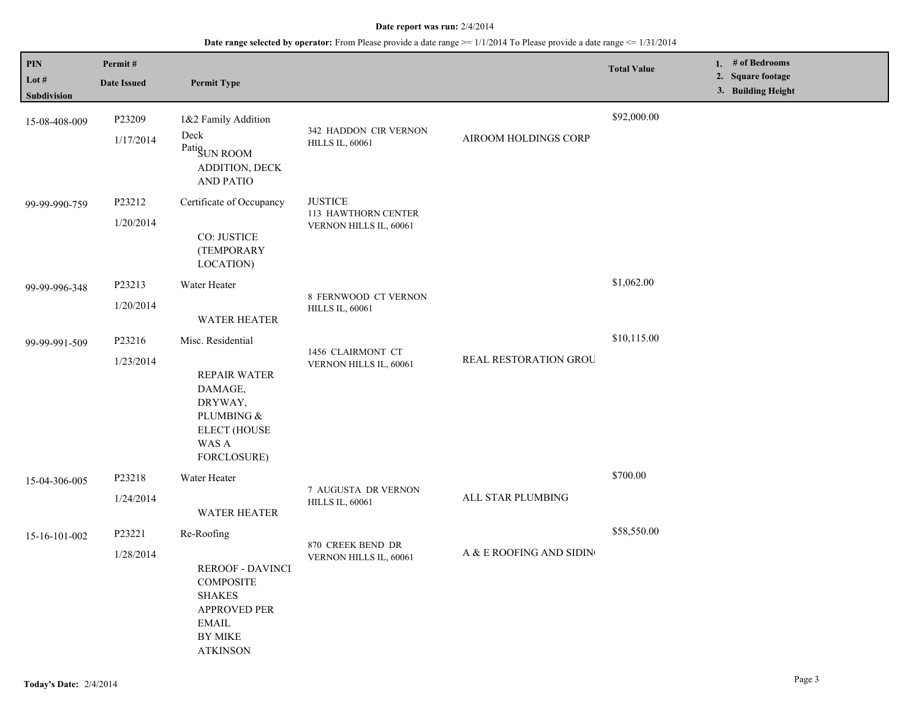#### **Date report was run:** 2/4/2014

## **Date range selected by operator:** From Please provide a date range >= 1/1/2014 To Please provide a date range <= 1/31/2014

| PIN<br>Lot $#$<br>Subdivision | Permit#<br><b>Date Issued</b> | <b>Permit Type</b>                                                                                                                               |                                                                 |                         | <b>Total Value</b> | 1. # of Bedrooms<br>2. Square footage<br>3. Building Height |
|-------------------------------|-------------------------------|--------------------------------------------------------------------------------------------------------------------------------------------------|-----------------------------------------------------------------|-------------------------|--------------------|-------------------------------------------------------------|
| 15-08-408-009                 | P23209<br>1/17/2014           | 1&2 Family Addition<br>$\rm{Deck}$<br>$\operatorname{Patig}\nolimits_{\operatorname{U}\!\mathcal{N}}$ ROOM<br>ADDITION, DECK<br><b>AND PATIO</b> | 342 HADDON CIR VERNON<br><b>HILLS IL, 60061</b>                 | AIROOM HOLDINGS CORP    | \$92,000.00        |                                                             |
| 99-99-990-759                 | P23212<br>1/20/2014           | Certificate of Occupancy<br>CO: JUSTICE<br>(TEMPORARY<br>LOCATION)                                                                               | <b>JUSTICE</b><br>113 HAWTHORN CENTER<br>VERNON HILLS IL, 60061 |                         |                    |                                                             |
| 99-99-996-348                 | P23213<br>1/20/2014           | Water Heater<br><b>WATER HEATER</b>                                                                                                              | 8 FERNWOOD CT VERNON<br><b>HILLS IL, 60061</b>                  |                         | \$1,062.00         |                                                             |
| 99-99-991-509                 | P23216<br>1/23/2014           | Misc. Residential<br><b>REPAIR WATER</b><br>DAMAGE,<br>DRYWAY,<br>PLUMBING &<br><b>ELECT (HOUSE</b><br>WAS A<br>FORCLOSURE)                      | 1456 CLAIRMONT CT<br>VERNON HILLS IL, 60061                     | REAL RESTORATION GROU   | \$10,115.00        |                                                             |
| 15-04-306-005                 | P23218<br>1/24/2014           | Water Heater<br><b>WATER HEATER</b>                                                                                                              | 7 AUGUSTA DR VERNON<br><b>HILLS IL, 60061</b>                   | ALL STAR PLUMBING       | \$700.00           |                                                             |
| 15-16-101-002                 | P23221<br>1/28/2014           | Re-Roofing<br><b>REROOF - DAVINCI</b><br><b>COMPOSITE</b><br><b>SHAKES</b><br>APPROVED PER<br><b>EMAIL</b><br>BY MIKE<br><b>ATKINSON</b>         | 870 CREEK BEND DR<br>VERNON HILLS IL, 60061                     | A & E ROOFING AND SIDIN | \$58,550.00        |                                                             |